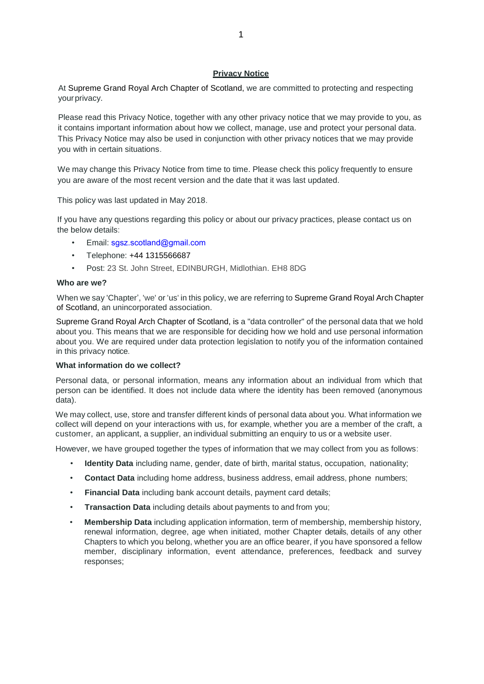### **Privacy Notice**

At Supreme Grand Royal Arch Chapter of Scotland, we are committed to protecting and respecting yourprivacy.

Please read this Privacy Notice, together with any other privacy notice that we may provide to you, as it contains important information about how we collect, manage, use and protect your personal data. This Privacy Notice may also be used in conjunction with other privacy notices that we may provide you with in certain situations.

We may change this Privacy Notice from time to time. Please check this policy frequently to ensure you are aware of the most recent version and the date that it was last updated.

This policy was last updated in May 2018.

If you have any questions regarding this policy or about our privacy practices, please contact us on the below details:

- Email: [sgsz.scotland@gmail.com](file://///Mac/Home/Desktop/sgsz.scotland@gmail.com)
- Telephone: +44 1315566687
- Post: 23 St. John Street, EDINBURGH, Midlothian. EH8 8DG

#### **Who are we?**

When we say 'Chapter', 'we' or 'us' in this policy, we are referring to Supreme Grand Royal Arch Chapter of Scotland, an unincorporated association.

Supreme Grand Royal Arch Chapter of Scotland, is a "data controller" of the personal data that we hold about you. This means that we are responsible for deciding how we hold and use personal information about you. We are required under data protection legislation to notify you of the information contained in this privacy notice.

#### **What information do we collect?**

Personal data, or personal information, means any information about an individual from which that person can be identified. It does not include data where the identity has been removed (anonymous data).

We may collect, use, store and transfer different kinds of personal data about you. What information we collect will depend on your interactions with us, for example, whether you are a member of the craft, a customer, an applicant, a supplier, an individual submitting an enquiry to us or a website user.

However, we have grouped together the types of information that we may collect from you as follows:

- **Identity Data** including name, gender, date of birth, marital status, occupation, nationality;
- **Contact Data** including home address, business address, email address, phone numbers;
- **Financial Data** including bank account details, payment card details;
- **Transaction Data** including details about payments to and from you;
- **Membership Data** including application information, term of membership, membership history, renewal information, degree, age when initiated, mother Chapter details, details of any other Chapters to which you belong, whether you are an office bearer, if you have sponsored a fellow member, disciplinary information, event attendance, preferences, feedback and survey responses;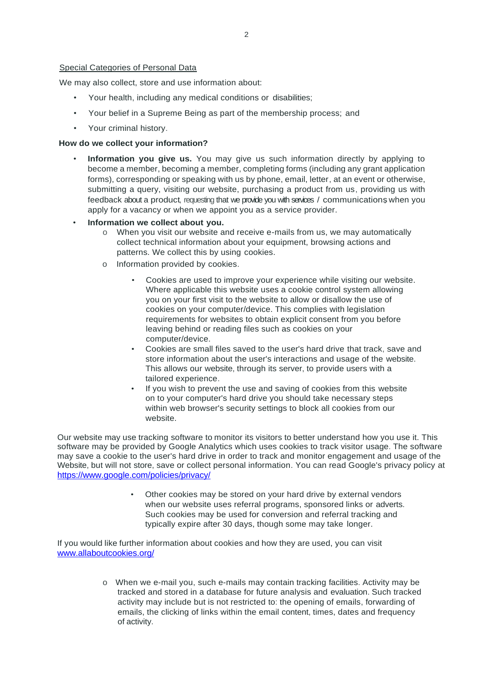### Special Categories of Personal Data

We may also collect, store and use information about:

- Your health, including any medical conditions or disabilities;
- Your belief in a Supreme Being as part of the membership process; and
- Your criminal history.

#### **How do we collect your information?**

- **Information you give us.** You may give us such information directly by applying to become a member, becoming a member, completing forms (including any grant application forms), corresponding or speaking with us by phone, email, letter, at an event or otherwise, submitting a query, visiting our website, purchasing a product from us, providing us with feedback about a product, requesting that we provide you with services / communications when you apply for a vacancy or when we appoint you as a service provider.
- **Information we collect about you.**
	- o When you visit our website and receive e-mails from us, we may automatically collect technical information about your equipment, browsing actions and patterns. We collect this by using cookies.
	- o Information provided by cookies.
		- Cookies are used to improve your experience while visiting our website. Where applicable this website uses a cookie control system allowing you on your first visit to the website to allow or disallow the use of cookies on your computer/device. This complies with legislation requirements for websites to obtain explicit consent from you before leaving behind or reading files such as cookies on your computer/device.
		- Cookies are small files saved to the user's hard drive that track, save and store information about the user's interactions and usage of the website. This allows our website, through its server, to provide users with a tailored experience.
		- If you wish to prevent the use and saving of cookies from this website on to your computer's hard drive you should take necessary steps within web browser's security settings to block all cookies from our website.

Our website may use tracking software to monitor its visitors to better understand how you use it. This software may be provided by Google Analytics which uses cookies to track visitor usage. The software may save a cookie to the user's hard drive in order to track and monitor engagement and usage of the Website, but will not store, save or collect personal information. You can read Google's privacy policy at <https://www.google.com/policies/privacy/>

> • Other cookies may be stored on your hard drive by external vendors when our website uses referral programs, sponsored links or adverts. Such cookies may be used for conversion and referral tracking and typically expire after 30 days, though some may take longer.

If you would like further information about cookies and how they are used, you can visit [www.allaboutcookies.org/](file://///Mac/Home/Desktop/www.allaboutcookies.org/)

> o When we e-mail you, such e-mails may contain tracking facilities. Activity may be tracked and stored in a database for future analysis and evaluation. Such tracked activity may include but is not restricted to: the opening of emails, forwarding of emails, the clicking of links within the email content, times, dates and frequency of activity.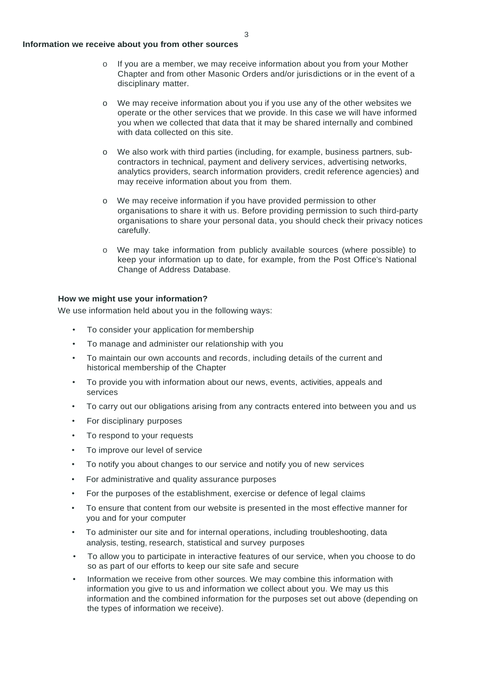### **Information we receive about you from other sources**

- o If you are a member, we may receive information about you from your Mother Chapter and from other Masonic Orders and/or jurisdictions or in the event of a disciplinary matter.
- o We may receive information about you if you use any of the other websites we operate or the other services that we provide. In this case we will have informed you when we collected that data that it may be shared internally and combined with data collected on this site.
- o We also work with third parties (including, for example, business partners, subcontractors in technical, payment and delivery services, advertising networks, analytics providers, search information providers, credit reference agencies) and may receive information about you from them.
- o We may receive information if you have provided permission to other organisations to share it with us. Before providing permission to such third-party organisations to share your personal data, you should check their privacy notices carefully.
- o We may take information from publicly available sources (where possible) to keep your information up to date, for example, from the Post Office's National Change of Address Database.

# **How we might use your information?**

We use information held about you in the following ways:

- To consider your application for membership
- To manage and administer our relationship with you
- To maintain our own accounts and records, including details of the current and historical membership of the Chapter
- To provide you with information about our news, events, activities, appeals and services
- To carry out our obligations arising from any contracts entered into between you and us
- For disciplinary purposes
- To respond to your requests
- To improve our level of service
- To notify you about changes to our service and notify you of new services
- For administrative and quality assurance purposes
- For the purposes of the establishment, exercise or defence of legal claims
- To ensure that content from our website is presented in the most effective manner for you and for your computer
- To administer our site and for internal operations, including troubleshooting, data analysis, testing, research, statistical and survey purposes
- To allow you to participate in interactive features of our service, when you choose to do so as part of our efforts to keep our site safe and secure
- Information we receive from other sources. We may combine this information with information you give to us and information we collect about you. We may us this information and the combined information for the purposes set out above (depending on the types of information we receive).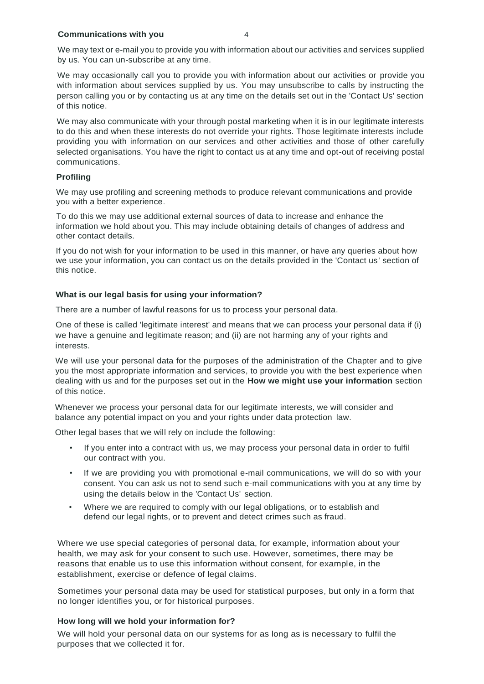### **Communications with you** 4

We may text or e-mail you to provide you with information about our activities and services supplied by us. You can un-subscribe at any time.

We may occasionally call you to provide you with information about our activities or provide you with information about services supplied by us. You may unsubscribe to calls by instructing the person calling you or by contacting us at any time on the details set out in the 'Contact Us' section of this notice.

We may also communicate with your through postal marketing when it is in our legitimate interests to do this and when these interests do not override your rights. Those legitimate interests include providing you with information on our services and other activities and those of other carefully selected organisations. You have the right to contact us at any time and opt-out of receiving postal communications.

### **Profiling**

We may use profiling and screening methods to produce relevant communications and provide you with a better experience.

To do this we may use additional external sources of data to increase and enhance the information we hold about you. This may include obtaining details of changes of address and other contact details.

If you do not wish for your information to be used in this manner, or have any queries about how we use your information, you can contact us on the details provided in the 'Contact us' section of this notice.

### **What is our legal basis for using your information?**

There are a number of lawful reasons for us to process your personal data.

One of these is called 'legitimate interest' and means that we can process your personal data if (i) we have a genuine and legitimate reason; and (ii) are not harming any of your rights and interests.

We will use your personal data for the purposes of the administration of the Chapter and to give you the most appropriate information and services, to provide you with the best experience when dealing with us and for the purposes set out in the **How we might use your information** section of this notice.

Whenever we process your personal data for our legitimate interests, we will consider and balance any potential impact on you and your rights under data protection law.

Other legal bases that we will rely on include the following:

- If you enter into a contract with us, we may process your personal data in order to fulfil our contract with you.
- If we are providing you with promotional e-mail communications, we will do so with your consent. You can ask us not to send such e-mail communications with you at any time by using the details below in the 'Contact Us' section.
- Where we are required to comply with our legal obligations, or to establish and defend our legal rights, or to prevent and detect crimes such as fraud.

 Where we use special categories of personal data, for example, information about your health, we may ask for your consent to such use. However, sometimes, there may be reasons that enable us to use this information without consent, for example, in the establishment, exercise or defence of legal claims.

Sometimes your personal data may be used for statistical purposes, but only in a form that no longer identifies you, or for historical purposes.

# **How long will we hold your information for?**

We will hold your personal data on our systems for as long as is necessary to fulfil the purposes that we collected it for.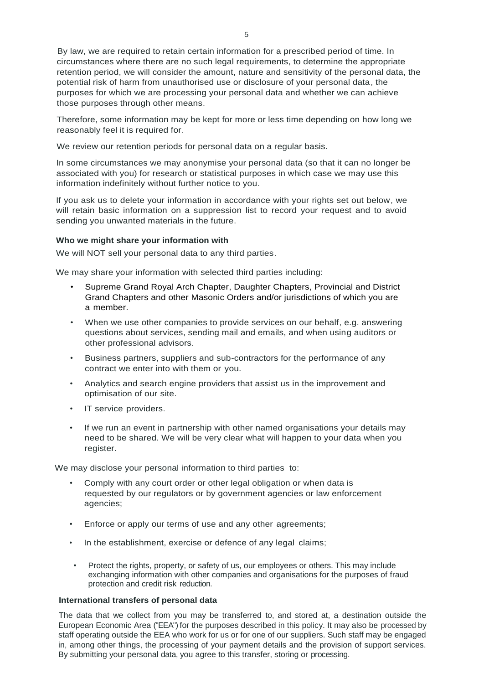By law, we are required to retain certain information for a prescribed period of time. In circumstances where there are no such legal requirements, to determine the appropriate retention period, we will consider the amount, nature and sensitivity of the personal data, the potential risk of harm from unauthorised use or disclosure of your personal data, the purposes for which we are processing your personal data and whether we can achieve those purposes through other means.

Therefore, some information may be kept for more or less time depending on how long we reasonably feel it is required for.

We review our retention periods for personal data on a regular basis.

In some circumstances we may anonymise your personal data (so that it can no longer be associated with you) for research or statistical purposes in which case we may use this information indefinitely without further notice to you.

If you ask us to delete your information in accordance with your rights set out below, we will retain basic information on a suppression list to record your request and to avoid sending you unwanted materials in the future.

# **Who we might share your information with**

We will NOT sell your personal data to any third parties.

We may share your information with selected third parties including:

- Supreme Grand Royal Arch Chapter, Daughter Chapters, Provincial and District Grand Chapters and other Masonic Orders and/or jurisdictions of which you are a member.
- When we use other companies to provide services on our behalf, e.g. answering questions about services, sending mail and emails, and when using auditors or other professional advisors.
- Business partners, suppliers and sub-contractors for the performance of any contract we enter into with them or you.
- Analytics and search engine providers that assist us in the improvement and optimisation of our site.
- IT service providers.
- If we run an event in partnership with other named organisations your details may need to be shared. We will be very clear what will happen to your data when you register.

We may disclose your personal information to third parties to:

- Comply with any court order or other legal obligation or when data is requested by our regulators or by government agencies or law enforcement agencies;
- Enforce or apply our terms of use and any other agreements;
- In the establishment, exercise or defence of any legal claims;
- Protect the rights, property, or safety of us, our employees or others. This may include exchanging information with other companies and organisations for the purposes of fraud protection and credit risk reduction.

# **International transfers of personal data**

The data that we collect from you may be transferred to, and stored at, a destination outside the European Economic Area ("EEA") for the purposes described in this policy. It may also be processed by staff operating outside the EEA who work for us or for one of our suppliers. Such staff may be engaged in, among other things, the processing of your payment details and the provision of support services. By submitting your personal data, you agree to this transfer, storing or processing.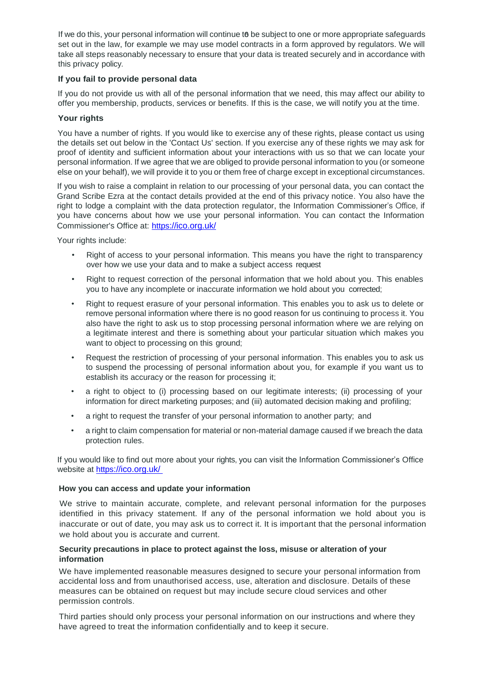If we do this, your personal information will continue to be subject to one or more appropriate safeguards set out in the law, for example we may use model contracts in a form approved by regulators. We will take all steps reasonably necessary to ensure that your data is treated securely and in accordance with this privacy policy.

# **If you fail to provide personal data**

If you do not provide us with all of the personal information that we need, this may affect our ability to offer you membership, products, services or benefits. If this is the case, we will notify you at the time.

# **Your rights**

You have a number of rights. If you would like to exercise any of these rights, please contact us using the details set out below in the 'Contact Us' section. If you exercise any of these rights we may ask for proof of identity and sufficient information about your interactions with us so that we can locate your personal information. If we agree that we are obliged to provide personal information to you (or someone else on your behalf), we will provide it to you or them free of charge except in exceptional circumstances.

If you wish to raise a complaint in relation to our processing of your personal data, you can contact the Grand Scribe Ezra at the contact details provided at the end of this privacy notice. You also have the right to lodge a complaint with the data protection regulator, the Information Commissioner's Office, if you have concerns about how we use your personal information. You can contact the Information Commissioner's Office at: https[://ico.org.uk/](https://ico.org.uk/)

Your rights include:

- Right of access to your personal information. This means you have the right to transparency over how we use your data and to make a subject access request
- Right to request correction of the personal information that we hold about you. This enables you to have any incomplete or inaccurate information we hold about you corrected;
- Right to request erasure of your personal information. This enables you to ask us to delete or remove personal information where there is no good reason for us continuing to process it. You also have the right to ask us to stop processing personal information where we are relying on a legitimate interest and there is something about your particular situation which makes you want to object to processing on this ground;
- Request the restriction of processing of your personal information. This enables you to ask us to suspend the processing of personal information about you, for example if you want us to establish its accuracy or the reason for processing it;
- a right to object to (i) processing based on our legitimate interests; (ii) processing of your information for direct marketing purposes; and (iii) automated decision making and profiling;
- a right to request the transfer of your personal information to another party; and
- a right to claim compensation for material or non-material damage caused if we breach the data protection rules.

If you would like to find out more about your rights, you can visit the Information Commissioner's Office website at https[://ico.org.uk/](https://ico.org.uk/)

# **How you can access and update your information**

We strive to maintain accurate, complete, and relevant personal information for the purposes identified in this privacy statement. If any of the personal information we hold about you is inaccurate or out of date, you may ask us to correct it. It is important that the personal information we hold about you is accurate and current.

# **Security precautions in place to protect against the loss, misuse or alteration of your information**

We have implemented reasonable measures designed to secure your personal information from accidental loss and from unauthorised access, use, alteration and disclosure. Details of these measures can be obtained on request but may include secure cloud services and other permission controls.

Third parties should only process your personal information on our instructions and where they have agreed to treat the information confidentially and to keep it secure.